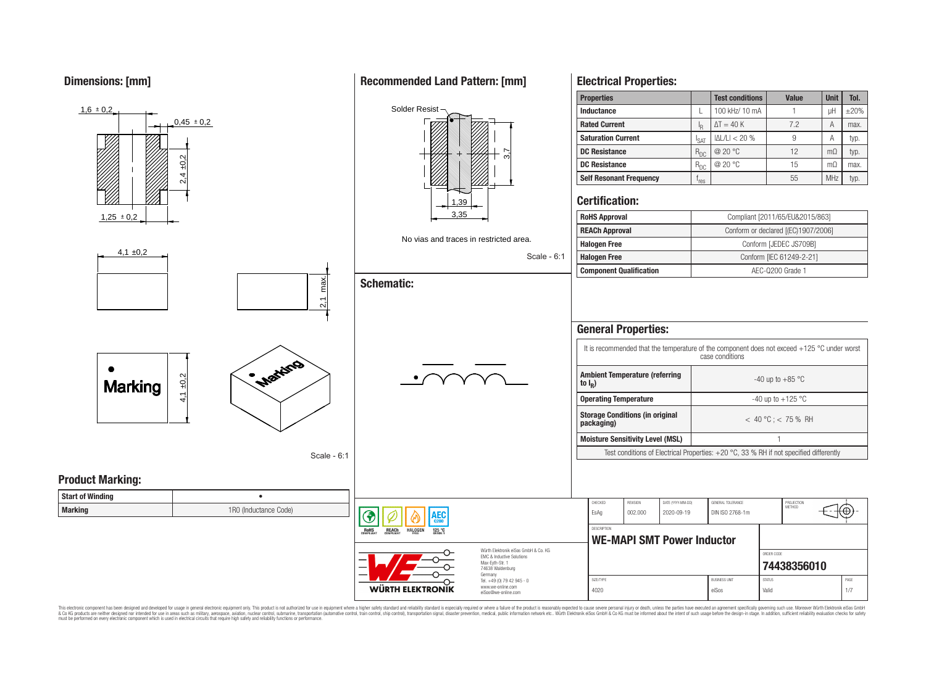**Dimensions: [mm]**



This electronic component has been designed and developed for usage in general electronic equipment only. This product is not authorized for use in equipment where a higher safety standard and reliability standard is espec & Ook product a label and the membed of the seasuch as marked and as which such a membed and the such assume that income in the seasuch and the simulation and the such assume that include to the such a membed and the such

## **Recommended Land Pattern: [mm]**

**Electrical Properties:**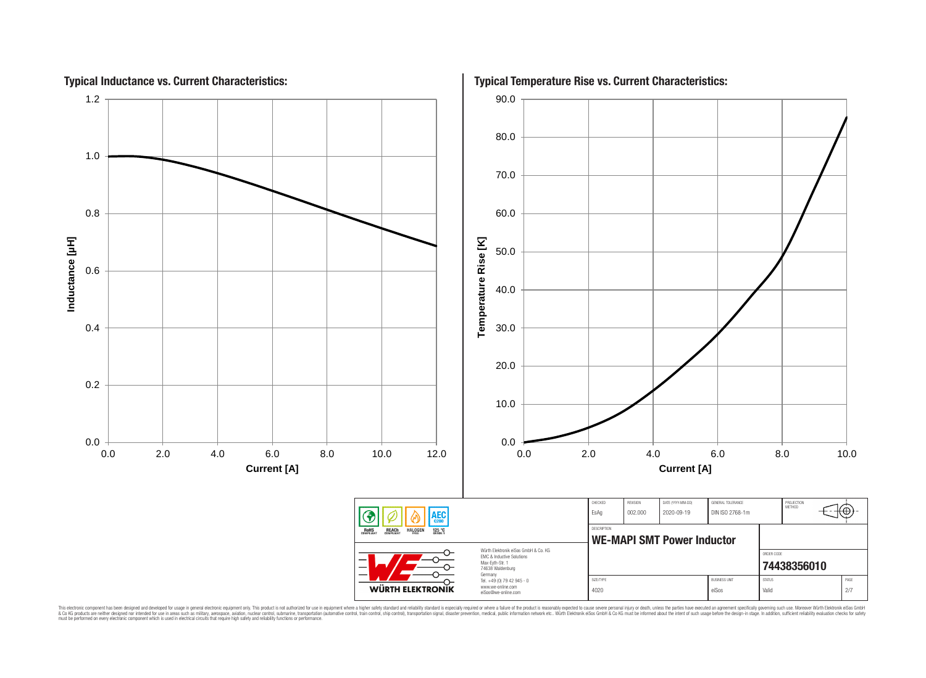

This electronic component has been designed and developed for usage in general electronic equipment only. This product is not authorized for subserved requipment where a higher selection equipment where a higher selection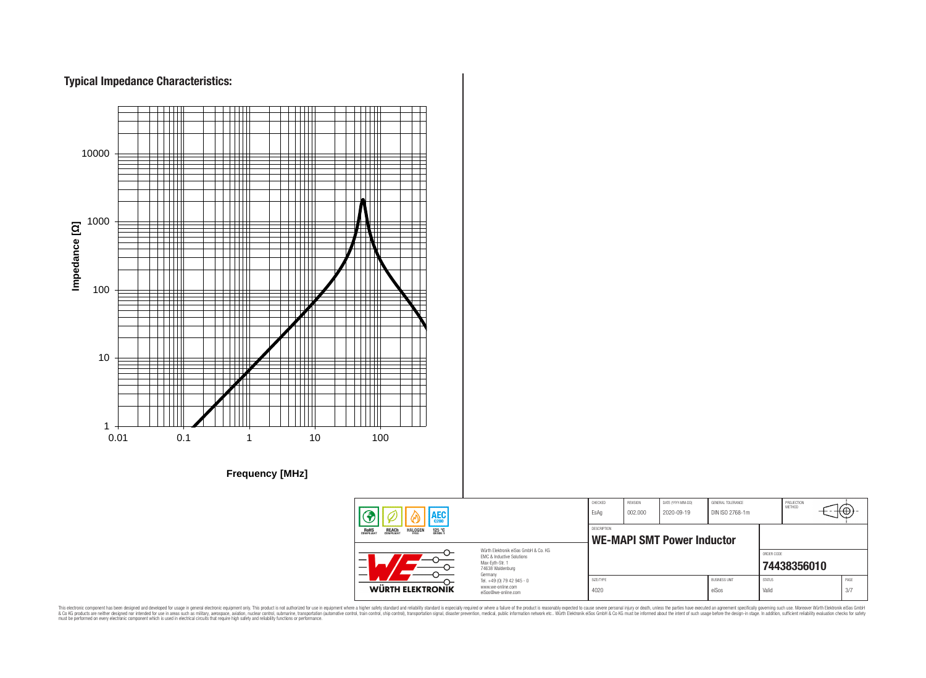## **Typical Impedance Characteristics:**



This electronic component has been designed and developed for usage in general electronic equipment only. This product is not authorized for use in equipment where a higher safely standard and reliability standard si espec & Ook product a label and the membed of the seasuch as marked and as which such a membed and the such assume that income in the seasuch and the simulation and the such assume that include to the such a membed and the such

76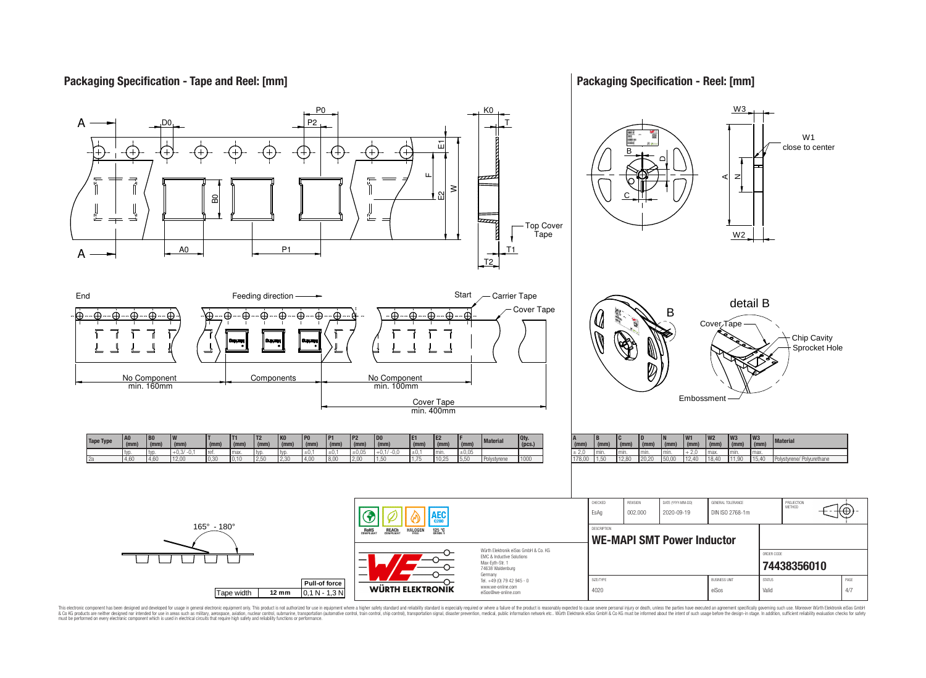## **Packaging Specification - Tape and Reel: [mm]**

## **Packaging Specification - Reel: [mm]**



This electronic component has been designed and developed for usage in general electronic equipment only. This product is not authorized for subserved requipment where a higher selection equipment where a higher selection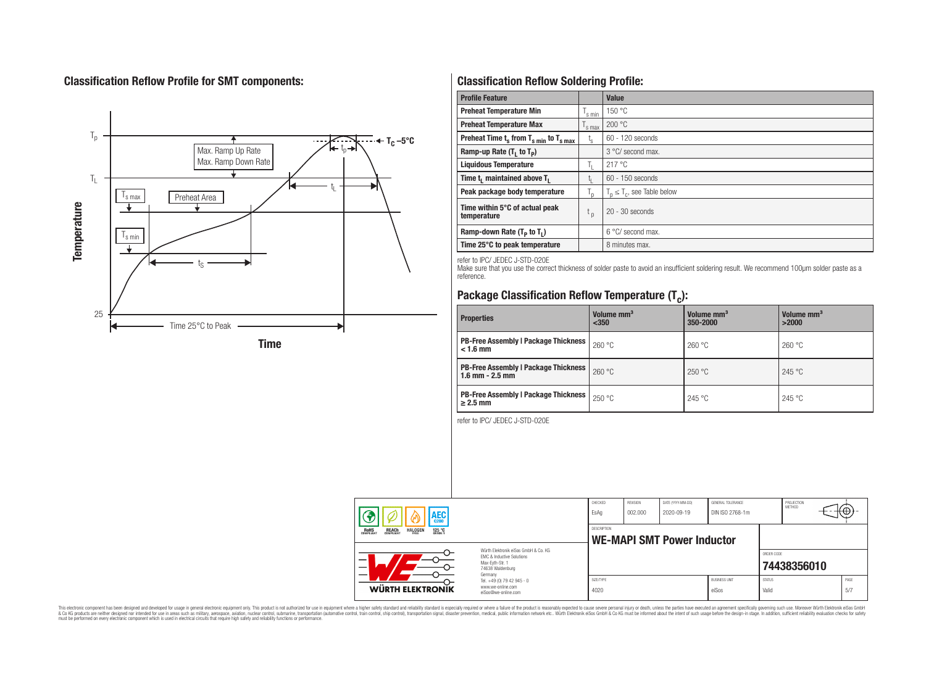## **Classification Reflow Profile for SMT components:**



# **Classification Reflow Soldering Profile:**

| <b>Profile Feature</b>                             |                    | <b>Value</b>                     |
|----------------------------------------------------|--------------------|----------------------------------|
| <b>Preheat Temperature Min</b>                     | <sup>I</sup> s min | 150 °C                           |
| <b>Preheat Temperature Max</b>                     | <sup>I</sup> s max | 200 °C                           |
| Preheat Time $t_s$ from $T_{s min}$ to $T_{s max}$ | $t_{\rm s}$        | $60 - 120$ seconds               |
| Ramp-up Rate $(T_1$ to $T_p$ )                     |                    | 3 °C/ second max.                |
| <b>Liquidous Temperature</b>                       | Ь.                 | 217 °C                           |
| Time $t_i$ maintained above $T_i$                  | կ                  | $60 - 150$ seconds               |
| Peak package body temperature                      | l n                | $T_p \leq T_c$ , see Table below |
| Time within 5°C of actual peak<br>temperature      | $t_{p}$            | $20 - 30$ seconds                |
| Ramp-down Rate $(T_p$ to $T_1$ )                   |                    | $6^{\circ}$ C/ second max.       |
| Time 25°C to peak temperature                      |                    | 8 minutes max.                   |

refer to IPC/ JEDEC J-STD-020E

Make sure that you use the correct thickness of solder paste to avoid an insufficient soldering result. We recommend 100µm solder paste as a reference.

# **Package Classification Reflow Temperature (T<sup>c</sup> ):**

| <b>Properties</b>                                                    | Volume mm <sup>3</sup><br>< 350 | Volume mm <sup>3</sup><br>350-2000 | Volume mm <sup>3</sup><br>>2000 |  |
|----------------------------------------------------------------------|---------------------------------|------------------------------------|---------------------------------|--|
| <b>PB-Free Assembly   Package Thickness  </b><br>$< 1.6$ mm          | 260 °C                          | 260 °C                             | 260 °C                          |  |
| <b>PB-Free Assembly   Package Thickness  </b><br>$1.6$ mm $- 2.5$ mm | 260 °C                          | 250 °C                             | 245 °C                          |  |
| <b>PB-Free Assembly   Package Thickness  </b><br>$\geq$ 2.5 mm       | 250 °C                          | 245 °C                             | 245 °C                          |  |

refer to IPC/ JEDEC J-STD-020E

| AEC<br><b>REACH</b><br>COMPLIANT<br><b>HALOGEN</b><br><b>ROHS</b><br>COMPLIANT<br>125 °C<br>Grade 1 |                                                                                                                     | CHECKED<br>EsAq                                  | <b>REVISION</b><br>002.000 | DATE (YYYY-MM-DD)<br>2020-09-19 | GENERAL TOLERANCE<br>DIN ISO 2768-1m |                        | PROJECTION<br>METHOD |             |
|-----------------------------------------------------------------------------------------------------|---------------------------------------------------------------------------------------------------------------------|--------------------------------------------------|----------------------------|---------------------------------|--------------------------------------|------------------------|----------------------|-------------|
|                                                                                                     |                                                                                                                     | DESCRIPTION<br><b>WE-MAPI SMT Power Inductor</b> |                            |                                 |                                      |                        |                      |             |
|                                                                                                     | Würth Flektronik eiSos GmbH & Co. KG<br>FMC & Inductive Solutions<br>Max-Eyth-Str. 1<br>74638 Waldenburg<br>Germany |                                                  |                            |                                 |                                      | ORDER CODE             | 74438356010          |             |
| WÜRTH ELEKTRONIK                                                                                    | Tel. +49 (0) 79 42 945 - 0<br>www.we-online.com<br>eiSos@we-online.com                                              | SIZE/TYPE<br>4020                                |                            |                                 | <b>BUSINESS UNIT</b><br>eiSos        | <b>STATUS</b><br>Valid |                      | PAGE<br>5/7 |

This electronic component has been designed and developed for usage in general electronic equipment only. This product is not authorized for subserved requipment where a higher selection equipment where a higher selection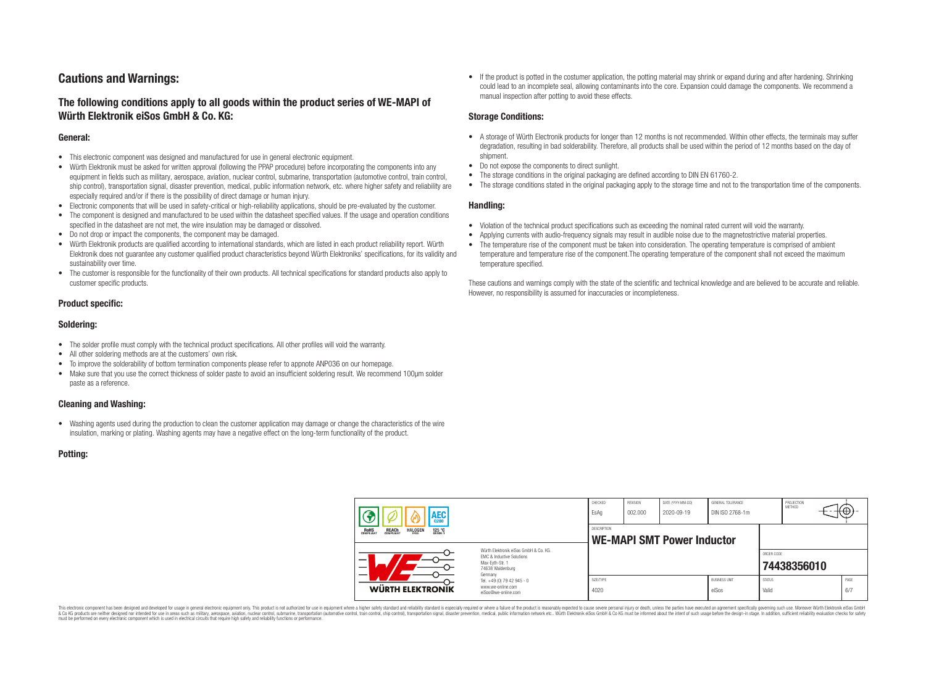## **Cautions and Warnings:**

## **The following conditions apply to all goods within the product series of WE-MAPI of Würth Elektronik eiSos GmbH & Co. KG:**

#### **General:**

- This electronic component was designed and manufactured for use in general electronic equipment.
- Würth Elektronik must be asked for written approval (following the PPAP procedure) before incorporating the components into any equipment in fields such as military, aerospace, aviation, nuclear control, submarine, transportation (automotive control, train control, ship control), transportation signal, disaster prevention, medical, public information network, etc. where higher safety and reliability are especially required and/or if there is the possibility of direct damage or human injury.
- Electronic components that will be used in safety-critical or high-reliability applications, should be pre-evaluated by the customer.
- The component is designed and manufactured to be used within the datasheet specified values. If the usage and operation conditions specified in the datasheet are not met, the wire insulation may be damaged or dissolved.
- Do not drop or impact the components, the component may be damaged.
- Würth Elektronik products are qualified according to international standards, which are listed in each product reliability report. Würth Elektronik does not guarantee any customer qualified product characteristics beyond Würth Elektroniks' specifications, for its validity and sustainability over time.
- The customer is responsible for the functionality of their own products. All technical specifications for standard products also apply to customer specific products.

#### **Product specific:**

#### **Soldering:**

- The solder profile must comply with the technical product specifications. All other profiles will void the warranty.
- All other soldering methods are at the customers' own risk.
- To improve the solderability of bottom termination components please refer to appnote ANP036 on our homepage.
- Make sure that you use the correct thickness of solder paste to avoid an insufficient soldering result. We recommend 100µm solder paste as a reference.

#### **Cleaning and Washing:**

• Washing agents used during the production to clean the customer application may damage or change the characteristics of the wire insulation, marking or plating. Washing agents may have a negative effect on the long-term functionality of the product.

#### **Potting:**

• If the product is potted in the costumer application, the potting material may shrink or expand during and after hardening. Shrinking could lead to an incomplete seal, allowing contaminants into the core. Expansion could damage the components. We recommend a manual inspection after potting to avoid these effects.

#### **Storage Conditions:**

- A storage of Würth Electronik products for longer than 12 months is not recommended. Within other effects, the terminals may suffer degradation, resulting in bad solderability. Therefore, all products shall be used within the period of 12 months based on the day of shipment.
- Do not expose the components to direct sunlight.
- The storage conditions in the original packaging are defined according to DIN EN 61760-2.
- The storage conditions stated in the original packaging apply to the storage time and not to the transportation time of the components.

#### **Handling:**

- Violation of the technical product specifications such as exceeding the nominal rated current will void the warranty.
- Applying currents with audio-frequency signals may result in audible noise due to the magnetostrictive material properties.
- The temperature rise of the component must be taken into consideration. The operating temperature is comprised of ambient temperature and temperature rise of the component.The operating temperature of the component shall not exceed the maximum temperature specified.

These cautions and warnings comply with the state of the scientific and technical knowledge and are believed to be accurate and reliable. However, no responsibility is assumed for inaccuracies or incompleteness.

| AEC                                                                                          |                                                                                                                                                                                               | CHECKED<br>EsAq                                         | <b>REVISION</b><br>002.000 | DATE (YYYY-MM-DD)<br>2020-09-19 | GENERAL TOLERANCE<br>DIN ISO 2768-1m |                        | PROJECTION<br>METHOD |             |
|----------------------------------------------------------------------------------------------|-----------------------------------------------------------------------------------------------------------------------------------------------------------------------------------------------|---------------------------------------------------------|----------------------------|---------------------------------|--------------------------------------|------------------------|----------------------|-------------|
| <b>ROHS</b><br>COMPLIANT<br><b>HALOGEN</b><br>125 °C<br>GRADE 1<br><b>REACH</b><br>COMPLIANT |                                                                                                                                                                                               | <b>DESCRIPTION</b><br><b>WE-MAPI SMT Power Inductor</b> |                            |                                 |                                      |                        |                      |             |
|                                                                                              | Würth Flektronik eiSos GmbH & Co. KG<br>FMC & Inductive Solutions<br>Max-Eyth-Str. 1<br>74638 Waldenburg<br>Germany<br>Tel. +49 (0) 79 42 945 - 0<br>www.we-online.com<br>eiSos@we-online.com |                                                         |                            |                                 |                                      | ORDER CODE             | 74438356010          |             |
| WÜRTH ELEKTRONIK                                                                             |                                                                                                                                                                                               | SIZE/TYPE<br>4020                                       |                            |                                 | <b>BUSINESS UNIT</b><br>eiSos        | <b>STATUS</b><br>Valid |                      | PAGE<br>6/7 |

This electronic component has been designed and developed for usage in general electronic equipment only. This product is not authorized for use in equipment where a higher safety standard and reliability standard si espec & Ook product a label and the membed of the seasuch as marked and as which such a membed and the such assume that income in the seasuch and the simulation and the such assume that include to the such a membed and the such